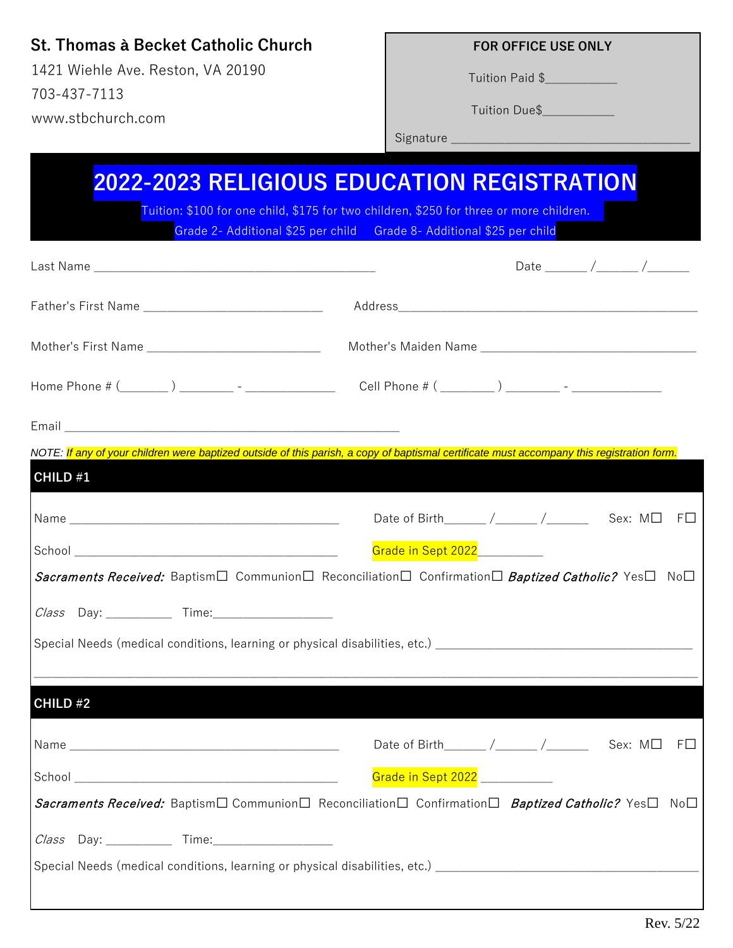## **St. Thomas à Becket Catholic Church**

1421 Wiehle Ave. Reston, VA 20190 703-437-7113 www.stbchurch.com

## **FOR OFFICE USE ONLY**

Tuition Paid \$\_\_\_\_\_\_\_\_\_\_\_\_

Tuition Due\$\_\_\_\_\_\_\_\_\_\_\_\_

Signature \_\_\_\_\_\_\_\_\_\_\_\_\_\_\_\_\_\_\_\_\_\_\_\_\_\_\_\_\_\_\_\_\_\_\_\_\_\_\_\_

|                                                        | Date $\frac{1}{\sqrt{1-\frac{1}{2}}}\frac{1}{\sqrt{1-\frac{1}{2}}\frac{1}{\sqrt{1-\frac{1}{2}}}}$                                          |
|--------------------------------------------------------|--------------------------------------------------------------------------------------------------------------------------------------------|
| Father's First Name __________________________________ |                                                                                                                                            |
| Mother's First Name _____________________________      |                                                                                                                                            |
|                                                        |                                                                                                                                            |
|                                                        |                                                                                                                                            |
| CHILD #1                                               | NOTE: If any of your children were baptized outside of this parish, a copy of baptismal certificate must accompany this registration form. |
|                                                        |                                                                                                                                            |
|                                                        | Date of Birth______/_____/_______ Sex: M□ F□                                                                                               |
|                                                        | Grade in Sept 2022___________<br>Sacraments Received: Baptism□ Communion□ Reconciliation□ Confirmation□ Baptized Catholic? Yes□ No□        |
|                                                        |                                                                                                                                            |
|                                                        |                                                                                                                                            |
|                                                        | Special Needs (medical conditions, learning or physical disabilities, etc.) __________________________________                             |
|                                                        |                                                                                                                                            |
|                                                        |                                                                                                                                            |
|                                                        | Date of Birth______ /_____ /______ Sex: $M\square$                                                                                         |
| CHILD #2                                               | $F\square$<br>Grade in Sept 2022 ___________                                                                                               |
|                                                        | Sacraments Received: Baptism□ Communion□ Reconciliation□ Confirmation□ Baptized Catholic? Yes□ No□                                         |